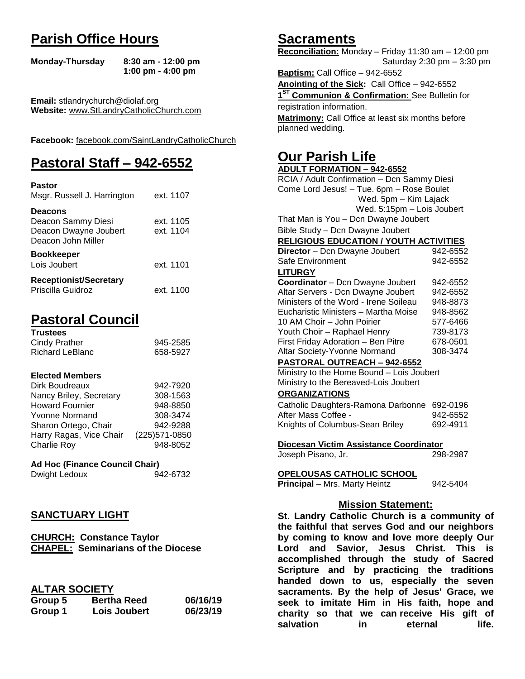# **Parish Office Hours**

```
Monday-Thursday 8:30 am - 12:00 pm
       1:00 pm - 4:00 pm
```
**Email:** stlandrychurch@diolaf.org **Website:** [www.StLandryCatholicChurch.com](http://www.stlandrycatholicchurch.com/)

**Facebook:** [facebook.com/SaintLandryCatholicChurch](http://facebook.com/SaintLandryCatholicChurch)

# **Pastoral Staff – 942-6552**

| <b>Pastor</b><br>Msgr. Russell J. Harrington                                        | ext. 1107              |
|-------------------------------------------------------------------------------------|------------------------|
| <b>Deacons</b><br>Deacon Sammy Diesi<br>Deacon Dwayne Joubert<br>Deacon John Miller | ext. 1105<br>ext. 1104 |
| <b>Bookkeeper</b><br>Lois Joubert                                                   | ext. 1101              |
| <b>Receptionist/Secretary</b><br>Priscilla Guidroz                                  | ext. 1100              |

# **Pastoral Council**

| <b>Trustees</b> |          |
|-----------------|----------|
| Cindy Prather   | 945-2585 |
| Richard LeBlanc | 658-5927 |

### **Elected Members**

| Dirk Boudreaux          | 942-7920       |
|-------------------------|----------------|
| Nancy Briley, Secretary | 308-1563       |
| <b>Howard Fournier</b>  | 948-8850       |
| <b>Yvonne Normand</b>   | 308-3474       |
| Sharon Ortego, Chair    | 942-9288       |
| Harry Ragas, Vice Chair | (225) 571-0850 |
| <b>Charlie Roy</b>      | 948-8052       |

## **Ad Hoc (Finance Council Chair)**

Dwight Ledoux 942-6732

## **SANCTUARY LIGHT**

**CHURCH: Constance Taylor CHAPEL: Seminarians of the Diocese** 

## **ALTAR SOCIETY**

| Group 5 | <b>Bertha Reed</b> | 06/16/19 |
|---------|--------------------|----------|
| Group 1 | Lois Joubert       | 06/23/19 |

# **Sacraments**

**Reconciliation:** Monday – Friday 11:30 am – 12:00 pm Saturday 2:30 pm – 3:30 pm

**Baptism:** Call Office – 942-6552 **Anointing of the Sick:** Call Office – 942-6552 **1 ST Communion & Confirmation:** See Bulletin for registration information. **Matrimony:** Call Office at least six months before planned wedding.

# **Our Parish Life**

| <b>ADULT FORMATION - 942-6552</b>                                                              |          |
|------------------------------------------------------------------------------------------------|----------|
| RCIA / Adult Confirmation - Dcn Sammy Diesi                                                    |          |
| Come Lord Jesus! - Tue. 6pm - Rose Boulet                                                      |          |
| Wed. 5pm - Kim Lajack                                                                          |          |
| Wed. 5:15pm - Lois Joubert                                                                     |          |
| That Man is You - Dcn Dwayne Joubert                                                           |          |
| Bible Study - Dcn Dwayne Joubert                                                               |          |
| <b>RELIGIOUS EDUCATION / YOUTH ACTIVITIES</b>                                                  |          |
| Director - Dcn Dwayne Joubert                                                                  | 942-6552 |
| Safe Environment                                                                               | 942-6552 |
| <b>LITURGY</b>                                                                                 |          |
| Coordinator - Dcn Dwayne Joubert                                                               | 942-6552 |
| Altar Servers - Dcn Dwayne Joubert                                                             | 942-6552 |
| Ministers of the Word - Irene Soileau                                                          | 948-8873 |
| Eucharistic Ministers - Martha Moise<br>948-8562                                               |          |
| 10 AM Choir - John Poirier                                                                     | 577-6466 |
| Youth Choir - Raphael Henry                                                                    | 739-8173 |
| First Friday Adoration - Ben Pitre                                                             | 678-0501 |
| Altar Society-Yvonne Normand                                                                   | 308-3474 |
| PASTORAL OUTREACH - 942-6552                                                                   |          |
| Ministry to the Home Bound - Lois Joubert                                                      |          |
| Ministry to the Bereaved-Lois Joubert                                                          |          |
| <b>ORGANIZATIONS</b>                                                                           |          |
| Catholic Daughters-Ramona Darbonne                                                             | 692-0196 |
| After Mass Coffee -                                                                            | 942-6552 |
| Knights of Columbus-Sean Briley                                                                | 692-4911 |
| Diocesan Victim Assistance Coordinator                                                         |          |
| Joseph Pisano, Jr.                                                                             | 298-2987 |
| OPELOUSAS CATHOLIC SCHOOL                                                                      |          |
| <b>Principal</b> - Mrs. Marty Heintz                                                           | 942-5404 |
| <b>Mission Statement:</b>                                                                      |          |
| St. Landry Catholic Church is a community of<br>the faithful that serves God and our neighbors |          |
| by coming to know and love more deeply Our                                                     |          |

**the faithful that serves God and our neighbors by coming to know and love more deeply Our Lord and Savior, Jesus Christ. This is accomplished through the study of Sacred Scripture and by practicing the traditions handed down to us, especially the seven sacraments. By the help of Jesus' Grace, we seek to imitate Him in His faith, hope and charity so that we can receive His gift of salvation in** eternal life.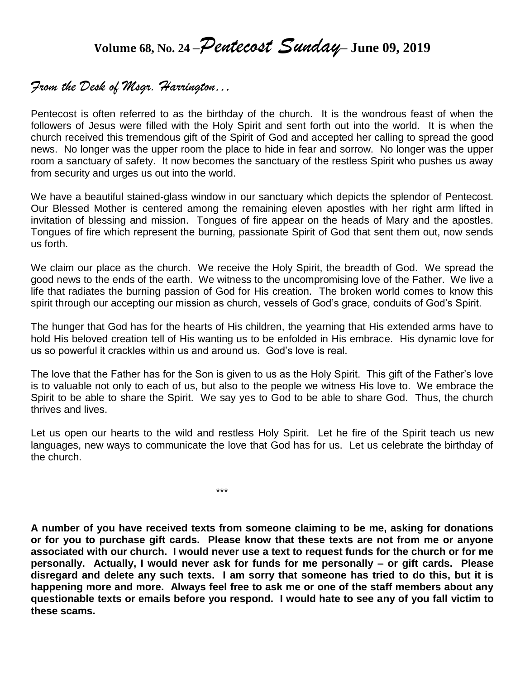**Volume 68, No. 24 –***Pentecost Sunday***– June 09, <sup>2019</sup>**

# *From the Desk of Msgr. Harrington…*

Pentecost is often referred to as the birthday of the church. It is the wondrous feast of when the followers of Jesus were filled with the Holy Spirit and sent forth out into the world. It is when the church received this tremendous gift of the Spirit of God and accepted her calling to spread the good news. No longer was the upper room the place to hide in fear and sorrow. No longer was the upper room a sanctuary of safety. It now becomes the sanctuary of the restless Spirit who pushes us away from security and urges us out into the world.

We have a beautiful stained-glass window in our sanctuary which depicts the splendor of Pentecost. Our Blessed Mother is centered among the remaining eleven apostles with her right arm lifted in invitation of blessing and mission. Tongues of fire appear on the heads of Mary and the apostles. Tongues of fire which represent the burning, passionate Spirit of God that sent them out, now sends us forth.

We claim our place as the church. We receive the Holy Spirit, the breadth of God. We spread the good news to the ends of the earth. We witness to the uncompromising love of the Father. We live a life that radiates the burning passion of God for His creation. The broken world comes to know this spirit through our accepting our mission as church, vessels of God's grace, conduits of God's Spirit.

The hunger that God has for the hearts of His children, the yearning that His extended arms have to hold His beloved creation tell of His wanting us to be enfolded in His embrace. His dynamic love for us so powerful it crackles within us and around us. God's love is real.

The love that the Father has for the Son is given to us as the Holy Spirit. This gift of the Father's love is to valuable not only to each of us, but also to the people we witness His love to. We embrace the Spirit to be able to share the Spirit. We say yes to God to be able to share God. Thus, the church thrives and lives.

Let us open our hearts to the wild and restless Holy Spirit. Let he fire of the Spirit teach us new languages, new ways to communicate the love that God has for us. Let us celebrate the birthday of the church.

\*\*\*

**A number of you have received texts from someone claiming to be me, asking for donations or for you to purchase gift cards. Please know that these texts are not from me or anyone associated with our church. I would never use a text to request funds for the church or for me personally. Actually, I would never ask for funds for me personally – or gift cards. Please disregard and delete any such texts. I am sorry that someone has tried to do this, but it is happening more and more. Always feel free to ask me or one of the staff members about any questionable texts or emails before you respond. I would hate to see any of you fall victim to these scams.**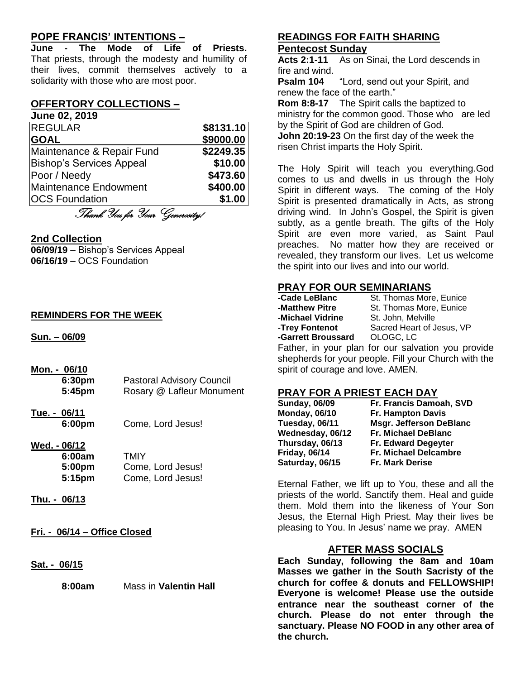## **POPE FRANCIS' INTENTIONS –**

**June - The Mode of Life of Priests.** That priests, through the modesty and humility of their lives, commit themselves actively to a solidarity with those who are most poor.

## **OFFERTORY COLLECTIONS –**

#### **June 02, 2019**

| <b>REGULAR</b>                  | \$8131.10 |
|---------------------------------|-----------|
| <b>GOAL</b>                     | \$9000.00 |
| Maintenance & Repair Fund       | \$2249.35 |
| <b>Bishop's Services Appeal</b> | \$10.00   |
| Poor / Needy                    | \$473.60  |
| <b>Maintenance Endowment</b>    | \$400.00  |
| <b>OCS Foundation</b>           | \$1.00    |

Thank You for Your Generosity!

#### **2nd Collection**

**06/09/19** – Bishop's Services Appeal **06/16/19** – OCS Foundation

#### **REMINDERS FOR THE WEEK**

**Sun. – 06/09**

- **Mon. - 06/10 6:30pm** Pastoral Advisory Council **5:45pm** Rosary @ Lafleur Monument
- **Tue. - 06/11 6:00pm** Come, Lord Jesus!

#### **Wed. - 06/12**

| 6:00am             | TMIY              |
|--------------------|-------------------|
| 5:00pm             | Come, Lord Jesus! |
| 5:15 <sub>pm</sub> | Come, Lord Jesus! |

- **Thu. - 06/13**
- **Fri. - 06/14 – Office Closed**
- **Sat. - 06/15**

**8:00am** Mass in **Valentin Hall**

### **READINGS FOR FAITH SHARING Pentecost Sunday**

**Acts 2:1-11** As on Sinai, the Lord descends in fire and wind.

**Psalm 104** "Lord, send out your Spirit, and renew the face of the earth."

**Rom 8:8-17** The Spirit calls the baptized to ministry for the common good. Those who are led by the Spirit of God are children of God. **John 20:19-23** On the first day of the week the risen Christ imparts the Holy Spirit.

The Holy Spirit will teach you everything.God comes to us and dwells in us through the Holy Spirit in different ways. The coming of the Holy Spirit is presented dramatically in Acts, as strong driving wind. In John's Gospel, the Spirit is given subtly, as a gentle breath. The gifts of the Holy Spirit are even more varied, as Saint Paul preaches. No matter how they are received or revealed, they transform our lives. Let us welcome the spirit into our lives and into our world.

### **PRAY FOR OUR SEMINARIANS**

| -Cade LeBlanc                     | St. Thomas More, Eunice                              |
|-----------------------------------|------------------------------------------------------|
| -Matthew Pitre                    | St. Thomas More, Eunice                              |
| -Michael Vidrine                  | St. John, Melville                                   |
| -Trey Fontenot                    | Sacred Heart of Jesus, VP                            |
| -Garrett Broussard                | OLOGC, LC                                            |
|                                   | Father, in your plan for our salvation you provide   |
|                                   | shepherds for your people. Fill your Church with the |
| spirit of courage and love. AMEN. |                                                      |
|                                   |                                                      |
|                                   |                                                      |

## **PRAY FOR A PRIEST EACH DAY**

| <b>Sunday, 06/09</b> | Fr. Francis Damoah, SVD        |
|----------------------|--------------------------------|
| <b>Monday, 06/10</b> | Fr. Hampton Davis              |
| Tuesday, 06/11       | <b>Msgr. Jefferson DeBlanc</b> |
| Wednesday, 06/12     | <b>Fr. Michael DeBlanc</b>     |
| Thursday, 06/13      | Fr. Edward Degeyter            |
| <b>Friday, 06/14</b> | Fr. Michael Delcambre          |
| Saturday, 06/15      | <b>Fr. Mark Derise</b>         |

Eternal Father, we lift up to You, these and all the priests of the world. Sanctify them. Heal and guide them. Mold them into the likeness of Your Son Jesus, the Eternal High Priest. May their lives be pleasing to You. In Jesus' name we pray. AMEN

### **AFTER MASS SOCIALS**

**Each Sunday, following the 8am and 10am Masses we gather in the South Sacristy of the church for coffee & donuts and FELLOWSHIP! Everyone is welcome! Please use the outside entrance near the southeast corner of the church. Please do not enter through the sanctuary. Please NO FOOD in any other area of the church.**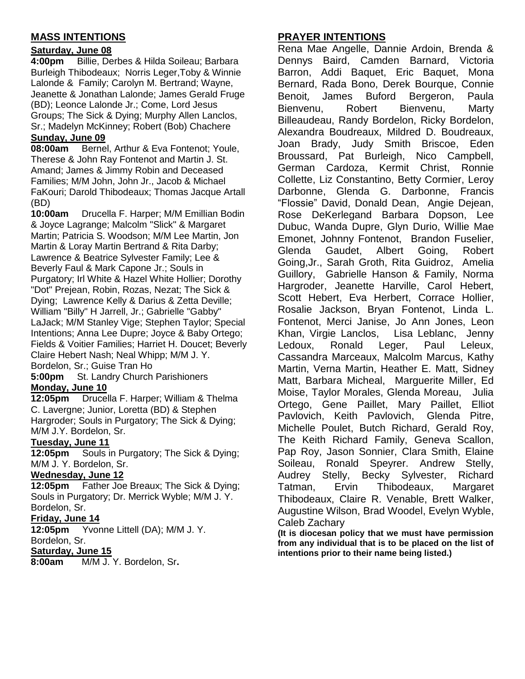## **MASS INTENTIONS**

### **Saturday, June 08**

**4:00pm** Billie, Derbes & Hilda Soileau; Barbara Burleigh Thibodeaux; Norris Leger,Toby & Winnie Lalonde & Family; Carolyn M. Bertrand; Wayne, Jeanette & Jonathan Lalonde; James Gerald Fruge (BD); Leonce Lalonde Jr.; Come, Lord Jesus Groups; The Sick & Dying; Murphy Allen Lanclos, Sr.; Madelyn McKinney; Robert (Bob) Chachere **Sunday, June 09**

**08:00am** Bernel, Arthur & Eva Fontenot; Youle, Therese & John Ray Fontenot and Martin J. St. Amand; James & Jimmy Robin and Deceased Families; M/M John, John Jr., Jacob & Michael FaKouri; Darold Thibodeaux; Thomas Jacque Artall (BD)

**10:00am** Drucella F. Harper; M/M Emillian Bodin & Joyce Lagrange; Malcolm "Slick" & Margaret Martin; Patricia S. Woodson; M/M Lee Martin, Jon Martin & Loray Martin Bertrand & Rita Darby; Lawrence & Beatrice Sylvester Family; Lee & Beverly Faul & Mark Capone Jr.; Souls in Purgatory; Irl White & Hazel White Hollier; Dorothy "Dot" Prejean, Robin, Rozas, Nezat; The Sick & Dying; Lawrence Kelly & Darius & Zetta Deville; William "Billy" H Jarrell, Jr.; Gabrielle "Gabby" LaJack; M/M Stanley Vige; Stephen Taylor; Special Intentions; Anna Lee Dupre; Joyce & Baby Ortego; Fields & Voitier Families; Harriet H. Doucet; Beverly Claire Hebert Nash; Neal Whipp; M/M J. Y. Bordelon, Sr.; Guise Tran Ho

**5:00pm** St. Landry Church Parishioners **Monday, June 10**

**12:05pm** Drucella F. Harper; William & Thelma C. Lavergne; Junior, Loretta (BD) & Stephen Hargroder; Souls in Purgatory; The Sick & Dying; M/M J.Y. Bordelon, Sr.

### **Tuesday, June 11**

**12:05pm** Souls in Purgatory; The Sick & Dying; M/M J. Y. Bordelon, Sr.

### **Wednesday, June 12**

**12:05pm** Father Joe Breaux; The Sick & Dying; Souls in Purgatory; Dr. Merrick Wyble; M/M J. Y. Bordelon, Sr.

### **Friday, June 14**

**12:05pm** Yvonne Littell (DA); M/M J. Y. Bordelon, Sr.

### **Saturday, June 15**

**8:00am** M/M J. Y. Bordelon, Sr**.**

## **PRAYER INTENTIONS**

Rena Mae Angelle, Dannie Ardoin, Brenda & Dennys Baird, Camden Barnard, Victoria Barron, Addi Baquet, Eric Baquet, Mona Bernard, Rada Bono, Derek Bourque, Connie Benoit, James Buford Bergeron, Paula Bienvenu, Robert Bienvenu, Marty Billeaudeau, Randy Bordelon, Ricky Bordelon, Alexandra Boudreaux, Mildred D. Boudreaux, Joan Brady, Judy Smith Briscoe, Eden Broussard, Pat Burleigh, Nico Campbell, German Cardoza, Kermit Christ, Ronnie Collette, Liz Constantino, Betty Cormier, Leroy Darbonne, Glenda G. Darbonne, Francis "Flossie" David, Donald Dean, Angie Dejean, Rose DeKerlegand Barbara Dopson, Lee Dubuc, Wanda Dupre, Glyn Durio, Willie Mae Emonet, Johnny Fontenot, Brandon Fuselier, Glenda Gaudet, Albert Going, Robert Going,Jr., Sarah Groth, Rita Guidroz, Amelia Guillory, Gabrielle Hanson & Family, Norma Hargroder, Jeanette Harville, Carol Hebert, Scott Hebert, Eva Herbert, Corrace Hollier, Rosalie Jackson, Bryan Fontenot, Linda L. Fontenot, Merci Janise, Jo Ann Jones, Leon Khan, Virgie Lanclos, Lisa Leblanc, Jenny Ledoux, Ronald Leger, Paul Leleux, Cassandra Marceaux, Malcolm Marcus, Kathy Martin, Verna Martin, Heather E. Matt, Sidney Matt, Barbara Micheal, Marguerite Miller, Ed Moise, Taylor Morales, Glenda Moreau, Julia Ortego, Gene Paillet, Mary Paillet, Elliot Pavlovich, Keith Pavlovich, Glenda Pitre, Michelle Poulet, Butch Richard, Gerald Roy, The Keith Richard Family, Geneva Scallon, Pap Roy, Jason Sonnier, Clara Smith, Elaine Soileau, Ronald Speyrer. Andrew Stelly, Audrey Stelly, Becky Sylvester, Richard Tatman, Ervin Thibodeaux, Margaret Thibodeaux, Claire R. Venable, Brett Walker, Augustine Wilson, Brad Woodel, Evelyn Wyble, Caleb Zachary

**(It is diocesan policy that we must have permission from any individual that is to be placed on the list of intentions prior to their name being listed.)**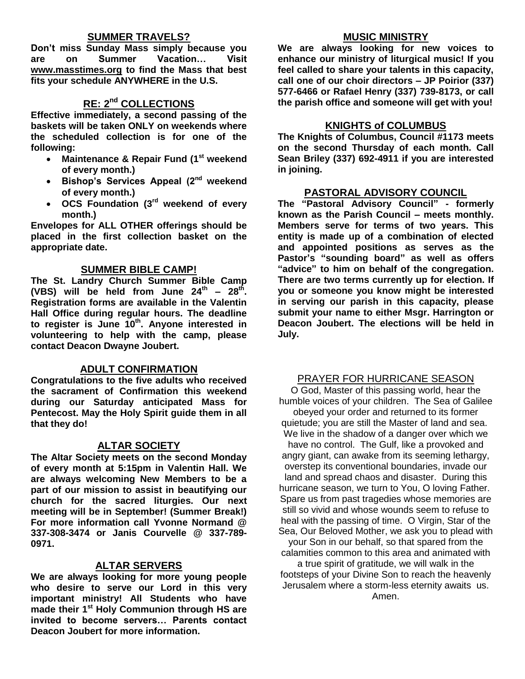## **SUMMER TRAVELS?**

**Don't miss Sunday Mass simply because you are on Summer Vacation… Visit [www.masstimes.org](http://www.masstimes.org/) to find the Mass that best fits your schedule ANYWHERE in the U.S.**

## **RE: 2nd COLLECTIONS**

**Effective immediately, a second passing of the baskets will be taken ONLY on weekends where the scheduled collection is for one of the following:**

- **Maintenance & Repair Fund (1st weekend of every month.)**
- **Bishop's Services Appeal (2nd weekend of every month.)**
- **OCS Foundation (3rd weekend of every month.)**

**Envelopes for ALL OTHER offerings should be placed in the first collection basket on the appropriate date.**

#### **SUMMER BIBLE CAMP!**

**The St. Landry Church Summer Bible Camp**  (VBS) will be held from June  $24^{th}$  –  $28^{th}$ . **Registration forms are available in the Valentin Hall Office during regular hours. The deadline to register is June 10th . Anyone interested in volunteering to help with the camp, please contact Deacon Dwayne Joubert.** 

### **ADULT CONFIRMATION**

**Congratulations to the five adults who received the sacrament of Confirmation this weekend during our Saturday anticipated Mass for Pentecost. May the Holy Spirit guide them in all that they do!**

### **ALTAR SOCIETY**

**The Altar Society meets on the second Monday of every month at 5:15pm in Valentin Hall. We are always welcoming New Members to be a part of our mission to assist in beautifying our church for the sacred liturgies. Our next meeting will be in September! (Summer Break!) For more information call Yvonne Normand @ 337-308-3474 or Janis Courvelle @ 337-789- 0971.** 

#### **ALTAR SERVERS**

**We are always looking for more young people who desire to serve our Lord in this very important ministry! All Students who have made their 1st Holy Communion through HS are invited to become servers… Parents contact Deacon Joubert for more information.**

#### **MUSIC MINISTRY**

**We are always looking for new voices to enhance our ministry of liturgical music! If you feel called to share your talents in this capacity, call one of our choir directors – JP Poirior (337) 577-6466 or Rafael Henry (337) 739-8173, or call the parish office and someone will get with you!**

#### **KNIGHTS of COLUMBUS**

**The Knights of Columbus, Council #1173 meets on the second Thursday of each month. Call Sean Briley (337) 692-4911 if you are interested in joining.** 

### **PASTORAL ADVISORY COUNCIL**

**The "Pastoral Advisory Council" - formerly known as the Parish Council – meets monthly. Members serve for terms of two years. This entity is made up of a combination of elected and appointed positions as serves as the Pastor's "sounding board" as well as offers "advice" to him on behalf of the congregation. There are two terms currently up for election. If you or someone you know might be interested in serving our parish in this capacity, please submit your name to either Msgr. Harrington or Deacon Joubert. The elections will be held in July.**

### PRAYER FOR HURRICANE SEASON

O God, Master of this passing world, hear the humble voices of your children. The Sea of Galilee obeyed your order and returned to its former quietude; you are still the Master of land and sea. We live in the shadow of a danger over which we have no control. The Gulf, like a provoked and angry giant, can awake from its seeming lethargy, overstep its conventional boundaries, invade our land and spread chaos and disaster. During this hurricane season, we turn to You, O loving Father. Spare us from past tragedies whose memories are still so vivid and whose wounds seem to refuse to heal with the passing of time. O Virgin, Star of the Sea, Our Beloved Mother, we ask you to plead with your Son in our behalf, so that spared from the calamities common to this area and animated with a true spirit of gratitude, we will walk in the footsteps of your Divine Son to reach the heavenly Jerusalem where a storm-less eternity awaits us. Amen.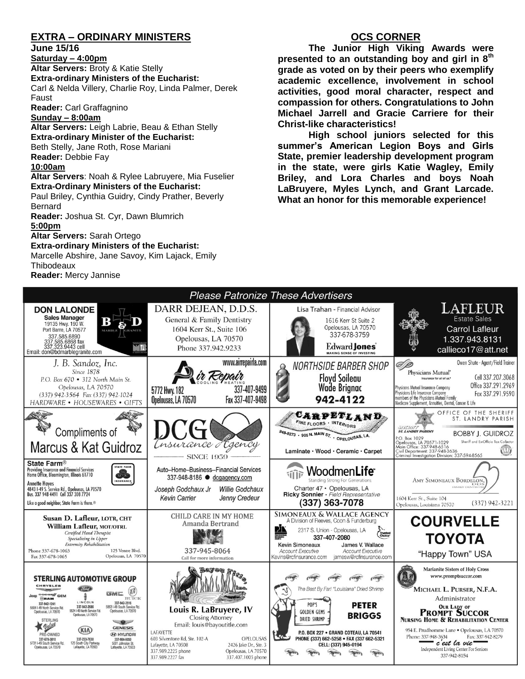## **EXTRA – ORDINARY MINISTERS**

#### **June 15/16**

**Saturday – 4:00pm** 

**Altar Servers:** Broty & Katie Stelly **Extra-ordinary Ministers of the Eucharist:**  Carl & Nelda Villery, Charlie Roy, Linda Palmer, Derek Faust

**Reader:** Carl Graffagnino

#### **Sunday – 8:00am**

**Altar Servers:** Leigh Labrie, Beau & Ethan Stelly **Extra-ordinary Minister of the Eucharist:** Beth Stelly, Jane Roth, Rose Mariani **Reader:** Debbie Fay

#### **10:00am**

#### **Altar Servers**: Noah & Rylee Labruyere, Mia Fuselier **Extra-Ordinary Ministers of the Eucharist:**

Paul Briley, Cynthia Guidry, Cindy Prather, Beverly Bernard

**Reader:** Joshua St. Cyr, Dawn Blumrich **5:00pm** 

**Altar Servers:** Sarah Ortego

**Extra-ordinary Ministers of the Eucharist:** Marcelle Abshire, Jane Savoy, Kim Lajack, Emily **Thibodeaux** 

**Reader:** Mercy Jannise

## **OCS CORNER**

**The Junior High Viking Awards were presented to an outstanding boy and girl in 8th grade as voted on by their peers who exemplify academic excellence, involvement in school activities, good moral character, respect and compassion for others. Congratulations to John Michael Jarrell and Gracie Carriere for their Christ-like characteristics!**

**High school juniors selected for this summer's American Legion Boys and Girls State, premier leadership development program in the state, were girls Katie Wagley, Emily Briley, and Lora Charles and boys Noah LaBruyere, Myles Lynch, and Grant Larcade. What an honor for this memorable experience!**